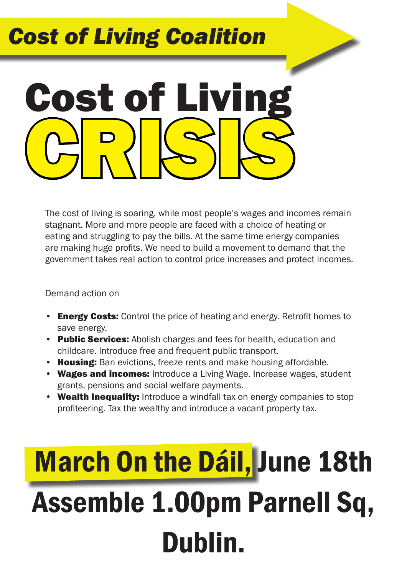#### *Cost of Living Coalition*

# CRISIS Cost of Livin

The cost of living is soaring, while most people's wages and incomes remain stagnant. More and more people are faced with a choice of heating or eating and struggling to pay the bills. At the same time energy companies are making huge profits. We need to build a movement to demand that the government takes real action to control price increases and protect incomes.

Demand action on

- Energy Costs: Control the price of heating and energy. Retrofit homes to save energy.
- Public Services: Abolish charges and fees for health, education and childcare. Introduce free and frequent public transport.
- Housing: Ban evictions, freeze rents and make housing affordable.
- Wages and incomes: Introduce a Living Wage. Increase wages, student grants, pensions and social welfare payments.
- Wealth Inequality: Introduce a windfall tax on energy companies to stop profiteering. Tax the wealthy and introduce a vacant property tax.

## **March On the Dáil, June 18th** Assemble 1.00pm Parnell Sq, Dublin.